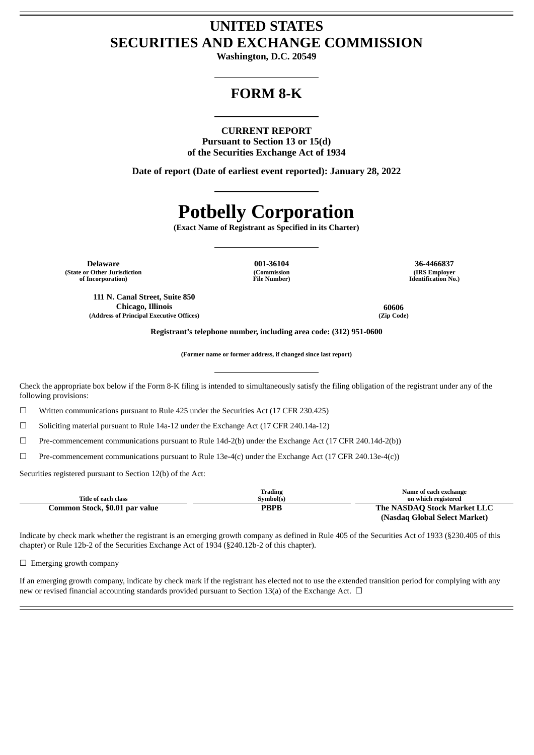## **UNITED STATES SECURITIES AND EXCHANGE COMMISSION**

**Washington, D.C. 20549**

## **FORM 8-K**

### **CURRENT REPORT**

**Pursuant to Section 13 or 15(d) of the Securities Exchange Act of 1934**

**Date of report (Date of earliest event reported): January 28, 2022**

# **Potbelly Corporation**

**(Exact Name of Registrant as Specified in its Charter)**

**Delaware 001-36104 36-4466837 (State or Other Jurisdiction of Incorporation)**

**111 N. Canal Street, Suite 850 Chicago, Illinois 60606**

**(Address of Principal Executive Offices) (Zip Code)**

**(Commission File Number)**

**(IRS Employer Identification No.)**

**Registrant's telephone number, including area code: (312) 951-0600**

**(Former name or former address, if changed since last report)**

Check the appropriate box below if the Form 8-K filing is intended to simultaneously satisfy the filing obligation of the registrant under any of the following provisions:

☐ Written communications pursuant to Rule 425 under the Securities Act (17 CFR 230.425)

☐ Soliciting material pursuant to Rule 14a-12 under the Exchange Act (17 CFR 240.14a-12)

 $\Box$  Pre-commencement communications pursuant to Rule 14d-2(b) under the Exchange Act (17 CFR 240.14d-2(b))

 $\Box$  Pre-commencement communications pursuant to Rule 13e-4(c) under the Exchange Act (17 CFR 240.13e-4(c))

Securities registered pursuant to Section 12(b) of the Act:

|                                | Trading     | Name of each exchange         |
|--------------------------------|-------------|-------------------------------|
| Title of each class            | Symbol(s)   | on which registered           |
| Common Stock, \$0.01 par value | <b>PBPB</b> | The NASDAQ Stock Market LLC   |
|                                |             | (Nasdag Global Select Market) |

Indicate by check mark whether the registrant is an emerging growth company as defined in Rule 405 of the Securities Act of 1933 (§230.405 of this chapter) or Rule 12b-2 of the Securities Exchange Act of 1934 (§240.12b-2 of this chapter).

 $\Box$  Emerging growth company

If an emerging growth company, indicate by check mark if the registrant has elected not to use the extended transition period for complying with any new or revised financial accounting standards provided pursuant to Section 13(a) of the Exchange Act.  $\Box$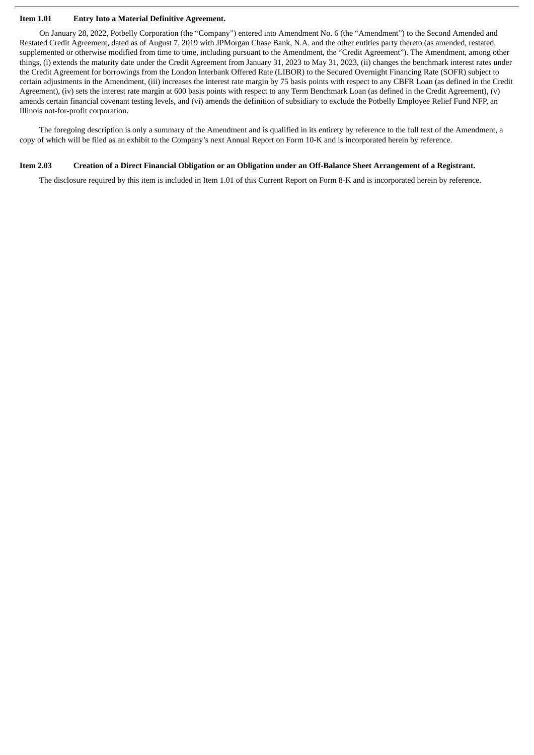#### **Item 1.01 Entry Into a Material Definitive Agreement.**

On January 28, 2022, Potbelly Corporation (the "Company") entered into Amendment No. 6 (the "Amendment") to the Second Amended and Restated Credit Agreement, dated as of August 7, 2019 with JPMorgan Chase Bank, N.A. and the other entities party thereto (as amended, restated, supplemented or otherwise modified from time to time, including pursuant to the Amendment, the "Credit Agreement"). The Amendment, among other things, (i) extends the maturity date under the Credit Agreement from January 31, 2023 to May 31, 2023, (ii) changes the benchmark interest rates under the Credit Agreement for borrowings from the London Interbank Offered Rate (LIBOR) to the Secured Overnight Financing Rate (SOFR) subject to certain adjustments in the Amendment, (iii) increases the interest rate margin by 75 basis points with respect to any CBFR Loan (as defined in the Credit Agreement), (iv) sets the interest rate margin at 600 basis points with respect to any Term Benchmark Loan (as defined in the Credit Agreement), (v) amends certain financial covenant testing levels, and (vi) amends the definition of subsidiary to exclude the Potbelly Employee Relief Fund NFP, an Illinois not-for-profit corporation.

The foregoing description is only a summary of the Amendment and is qualified in its entirety by reference to the full text of the Amendment, a copy of which will be filed as an exhibit to the Company's next Annual Report on Form 10-K and is incorporated herein by reference.

### Item 2.03 Creation of a Direct Financial Obligation or an Obligation under an Off-Balance Sheet Arrangement of a Registrant.

The disclosure required by this item is included in Item 1.01 of this Current Report on Form 8-K and is incorporated herein by reference.